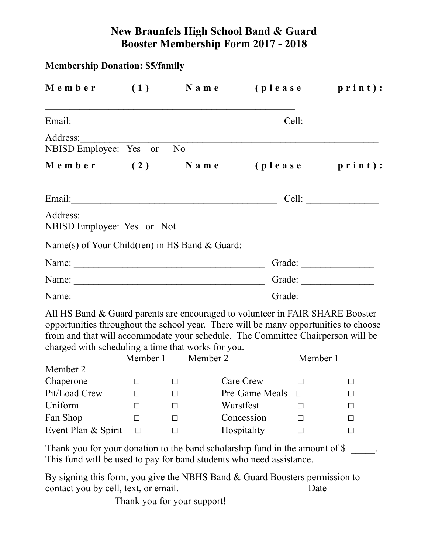## **New Braunfels High School Band & Guard Booster Membership Form 2017 - 2018**

| <b>Membership Donation: \$5/family</b>                                                                                                                                                                                                                                                                         |        |                             |                |          |                             |
|----------------------------------------------------------------------------------------------------------------------------------------------------------------------------------------------------------------------------------------------------------------------------------------------------------------|--------|-----------------------------|----------------|----------|-----------------------------|
| $M$ e m b e r (1) N a m e                                                                                                                                                                                                                                                                                      |        |                             |                |          | ( <b>please print)</b> :    |
|                                                                                                                                                                                                                                                                                                                |        |                             |                |          |                             |
| Address:<br>NBISD Employee: Yes or No                                                                                                                                                                                                                                                                          |        |                             |                |          |                             |
| $M$ e m b e r (2) N a m e                                                                                                                                                                                                                                                                                      |        |                             |                |          | ( <b>please print</b> ):    |
|                                                                                                                                                                                                                                                                                                                |        |                             |                |          | Cell:                       |
| Address:<br>NBISD Employee: Yes or Not<br>Name(s) of Your Child(ren) in HS Band $& Guard$ :                                                                                                                                                                                                                    |        |                             |                |          |                             |
|                                                                                                                                                                                                                                                                                                                |        |                             |                |          | Grade:                      |
| Name: Campaign Communication Communication Communication Communication Communication Communication Communication Communication Communication Communication Communication Communication Communication Communication Communicati                                                                                 |        |                             |                |          |                             |
| Name: Name:                                                                                                                                                                                                                                                                                                    |        |                             |                |          | Grade:                      |
| All HS Band & Guard parents are encouraged to volunteer in FAIR SHARE Booster<br>opportunities throughout the school year. There will be many opportunities to choose<br>from and that will accommodate your schedule. The Committee Chairperson will be<br>charged with scheduling a time that works for you. |        | Member 1 Member 2           |                | Member 1 |                             |
| Member 2                                                                                                                                                                                                                                                                                                       |        |                             |                |          |                             |
| Chaperone                                                                                                                                                                                                                                                                                                      |        | ΙI                          | Care Crew      |          | ΙI                          |
| Pit/Load Crew                                                                                                                                                                                                                                                                                                  |        | П                           | Pre-Game Meals | П        | $\perp$                     |
| Uniform                                                                                                                                                                                                                                                                                                        |        | $\perp$                     | Wurstfest      |          | $\perp$                     |
| Fan Shop                                                                                                                                                                                                                                                                                                       | $\Box$ | $\perp$                     | Concession     | П        | $\perp$                     |
| Event Plan & Spirit                                                                                                                                                                                                                                                                                            | $\Box$ | □                           | Hospitality    |          | П                           |
| Thank you for your donation to the band scholarship fund in the amount of \$<br>This fund will be used to pay for band students who need assistance.                                                                                                                                                           |        |                             |                |          |                             |
| By signing this form, you give the NBHS Band $&$ Guard Boosters permission to<br>contact you by cell, text, or email.                                                                                                                                                                                          |        |                             |                |          | Date $\qquad \qquad \qquad$ |
|                                                                                                                                                                                                                                                                                                                |        | Thank you for your support! |                |          |                             |